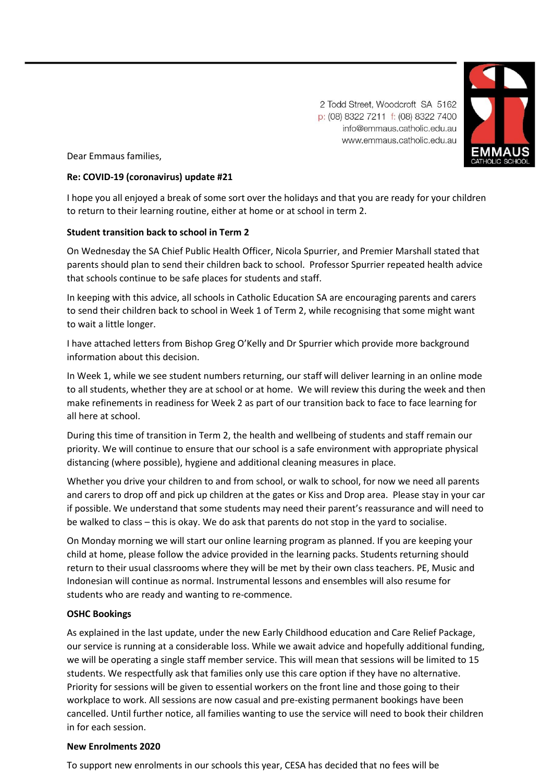2 Todd Street, Woodcroft SA 5162 p: (08) 8322 7211 f: (08) 8322 7400 info@emmaus.catholic.edu.au www.emmaus.catholic.edu.au



Dear Emmaus families,

# **Re: COVID-19 (coronavirus) update #21**

I hope you all enjoyed a break of some sort over the holidays and that you are ready for your children to return to their learning routine, either at home or at school in term 2.

# **Student transition back to school in Term 2**

On Wednesday the SA Chief Public Health Officer, Nicola Spurrier, and Premier Marshall stated that parents should plan to send their children back to school. Professor Spurrier repeated health advice that schools continue to be safe places for students and staff.

In keeping with this advice, all schools in Catholic Education SA are encouraging parents and carers to send their children back to school in Week 1 of Term 2, while recognising that some might want to wait a little longer.

I have attached letters from Bishop Greg O'Kelly and Dr Spurrier which provide more background information about this decision.

In Week 1, while we see student numbers returning, our staff will deliver learning in an online mode to all students, whether they are at school or at home. We will review this during the week and then make refinements in readiness for Week 2 as part of our transition back to face to face learning for all here at school.

During this time of transition in Term 2, the health and wellbeing of students and staff remain our priority. We will continue to ensure that our school is a safe environment with appropriate physical distancing (where possible), hygiene and additional cleaning measures in place.

Whether you drive your children to and from school, or walk to school, for now we need all parents and carers to drop off and pick up children at the gates or Kiss and Drop area. Please stay in your car if possible. We understand that some students may need their parent's reassurance and will need to be walked to class – this is okay. We do ask that parents do not stop in the yard to socialise.

On Monday morning we will start our online learning program as planned. If you are keeping your child at home, please follow the advice provided in the learning packs. Students returning should return to their usual classrooms where they will be met by their own class teachers. PE, Music and Indonesian will continue as normal. Instrumental lessons and ensembles will also resume for students who are ready and wanting to re-commence.

## **OSHC Bookings**

As explained in the last update, under the new Early Childhood education and Care Relief Package, our service is running at a considerable loss. While we await advice and hopefully additional funding, we will be operating a single staff member service. This will mean that sessions will be limited to 15 students. We respectfully ask that families only use this care option if they have no alternative. Priority for sessions will be given to essential workers on the front line and those going to their workplace to work. All sessions are now casual and pre-existing permanent bookings have been cancelled. Until further notice, all families wanting to use the service will need to book their children in for each session.

## **New Enrolments 2020**

To support new enrolments in our schools this year, CESA has decided that no fees will be